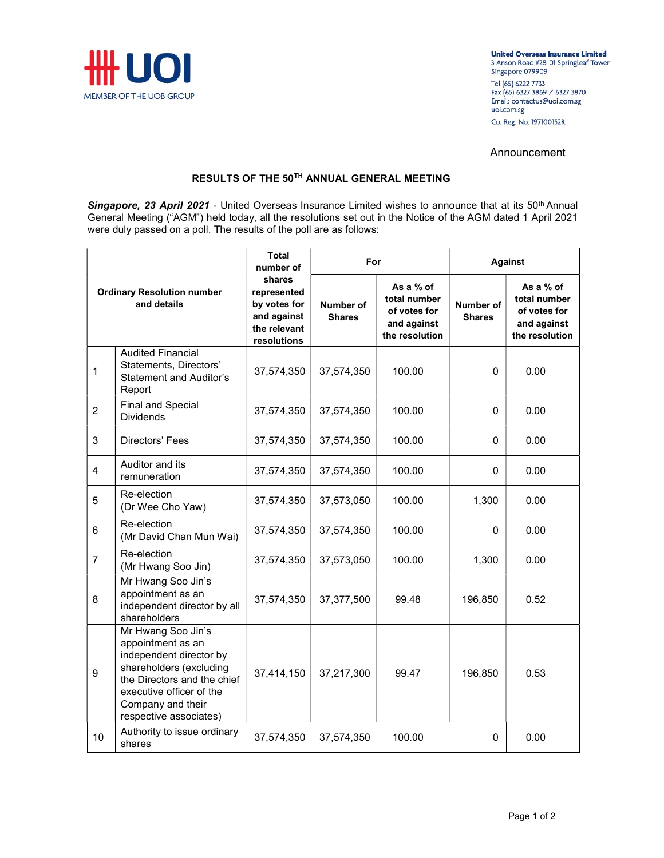

**United Overseas Insurance Limited** 3 Anson Road #28-01 Springleaf Tower Singapore 079909 Tel (65) 6222 7733<br>Fax (65) 6327 3869 / 6327 3870 Email: contactus@uoi.com.sg uoi.com.sg Co. Reg. No. 197100152R

## Announcement

## RESULTS OF THE 50TH ANNUAL GENERAL MEETING

Singapore, 23 April 2021 - United Overseas Insurance Limited wishes to announce that at its 50<sup>th</sup> Annual General Meeting ("AGM") held today, all the resolutions set out in the Notice of the AGM dated 1 April 2021 were duly passed on a poll. The results of the poll are as follows:

| <b>Ordinary Resolution number</b><br>and details |                                                                                                                                                                                                         | <b>Total</b><br>number of<br>shares<br>represented<br>by votes for<br>and against<br>the relevant<br>resolutions | For                               |                                                                            | <b>Against</b>             |                                                                            |
|--------------------------------------------------|---------------------------------------------------------------------------------------------------------------------------------------------------------------------------------------------------------|------------------------------------------------------------------------------------------------------------------|-----------------------------------|----------------------------------------------------------------------------|----------------------------|----------------------------------------------------------------------------|
|                                                  |                                                                                                                                                                                                         |                                                                                                                  | <b>Number of</b><br><b>Shares</b> | As a % of<br>total number<br>of votes for<br>and against<br>the resolution | Number of<br><b>Shares</b> | As a % of<br>total number<br>of votes for<br>and against<br>the resolution |
| $\mathbf{1}$                                     | <b>Audited Financial</b><br>Statements, Directors'<br><b>Statement and Auditor's</b><br>Report                                                                                                          | 37,574,350                                                                                                       | 37,574,350                        | 100.00                                                                     | 0                          | 0.00                                                                       |
| $\overline{c}$                                   | <b>Final and Special</b><br><b>Dividends</b>                                                                                                                                                            | 37,574,350                                                                                                       | 37,574,350                        | 100.00                                                                     | 0                          | 0.00                                                                       |
| 3                                                | Directors' Fees                                                                                                                                                                                         | 37,574,350                                                                                                       | 37,574,350                        | 100.00                                                                     | 0                          | 0.00                                                                       |
| 4                                                | Auditor and its<br>remuneration                                                                                                                                                                         | 37,574,350                                                                                                       | 37,574,350                        | 100.00                                                                     | 0                          | 0.00                                                                       |
| 5                                                | Re-election<br>(Dr Wee Cho Yaw)                                                                                                                                                                         | 37,574,350                                                                                                       | 37,573,050                        | 100.00                                                                     | 1,300                      | 0.00                                                                       |
| 6                                                | Re-election<br>(Mr David Chan Mun Wai)                                                                                                                                                                  | 37,574,350                                                                                                       | 37,574,350                        | 100.00                                                                     | 0                          | 0.00                                                                       |
| $\overline{7}$                                   | Re-election<br>(Mr Hwang Soo Jin)                                                                                                                                                                       | 37,574,350                                                                                                       | 37,573,050                        | 100.00                                                                     | 1,300                      | 0.00                                                                       |
| 8                                                | Mr Hwang Soo Jin's<br>appointment as an<br>independent director by all<br>shareholders                                                                                                                  | 37,574,350                                                                                                       | 37,377,500                        | 99.48                                                                      | 196,850                    | 0.52                                                                       |
| 9                                                | Mr Hwang Soo Jin's<br>appointment as an<br>independent director by<br>shareholders (excluding<br>the Directors and the chief<br>executive officer of the<br>Company and their<br>respective associates) | 37,414,150                                                                                                       | 37,217,300                        | 99.47                                                                      | 196,850                    | 0.53                                                                       |
| 10                                               | Authority to issue ordinary<br>shares                                                                                                                                                                   | 37,574,350                                                                                                       | 37,574,350                        | 100.00                                                                     | 0                          | 0.00                                                                       |